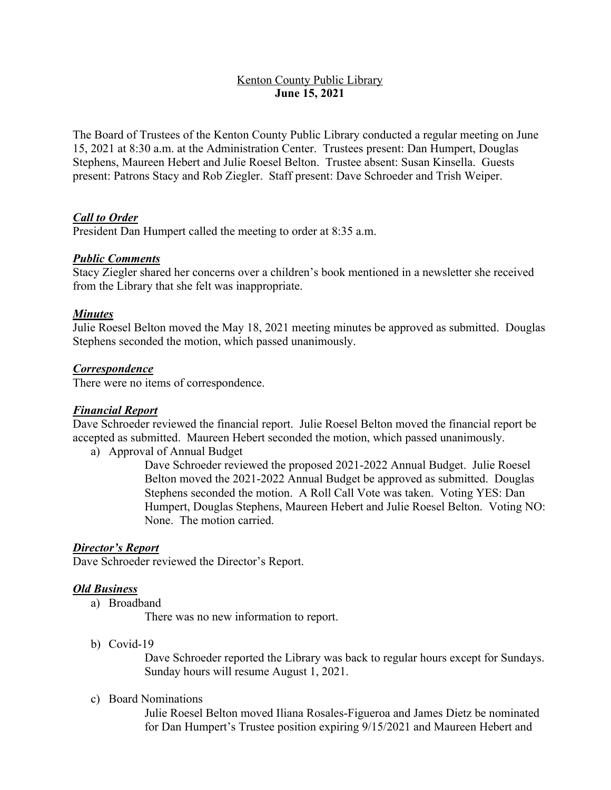# Kenton County Public Library **June 15, 2021**

The Board of Trustees of the Kenton County Public Library conducted a regular meeting on June 15, 2021 at 8:30 a.m. at the Administration Center. Trustees present: Dan Humpert, Douglas Stephens, Maureen Hebert and Julie Roesel Belton. Trustee absent: Susan Kinsella. Guests present: Patrons Stacy and Rob Ziegler. Staff present: Dave Schroeder and Trish Weiper.

# *Call to Order*

President Dan Humpert called the meeting to order at 8:35 a.m.

#### *Public Comments*

Stacy Ziegler shared her concerns over a children's book mentioned in a newsletter she received from the Library that she felt was inappropriate.

#### *Minutes*

Julie Roesel Belton moved the May 18, 2021 meeting minutes be approved as submitted. Douglas Stephens seconded the motion, which passed unanimously.

#### *Correspondence*

There were no items of correspondence.

#### *Financial Report*

Dave Schroeder reviewed the financial report. Julie Roesel Belton moved the financial report be accepted as submitted. Maureen Hebert seconded the motion, which passed unanimously.

a) Approval of Annual Budget

Dave Schroeder reviewed the proposed 2021-2022 Annual Budget. Julie Roesel Belton moved the 2021-2022 Annual Budget be approved as submitted. Douglas Stephens seconded the motion. A Roll Call Vote was taken. Voting YES: Dan Humpert, Douglas Stephens, Maureen Hebert and Julie Roesel Belton. Voting NO: None. The motion carried.

#### *Director's Report*

Dave Schroeder reviewed the Director's Report.

#### *Old Business*

a) Broadband

There was no new information to report.

b) Covid-19

Dave Schroeder reported the Library was back to regular hours except for Sundays. Sunday hours will resume August 1, 2021.

c) Board Nominations

Julie Roesel Belton moved Iliana Rosales-Figueroa and James Dietz be nominated for Dan Humpert's Trustee position expiring 9/15/2021 and Maureen Hebert and